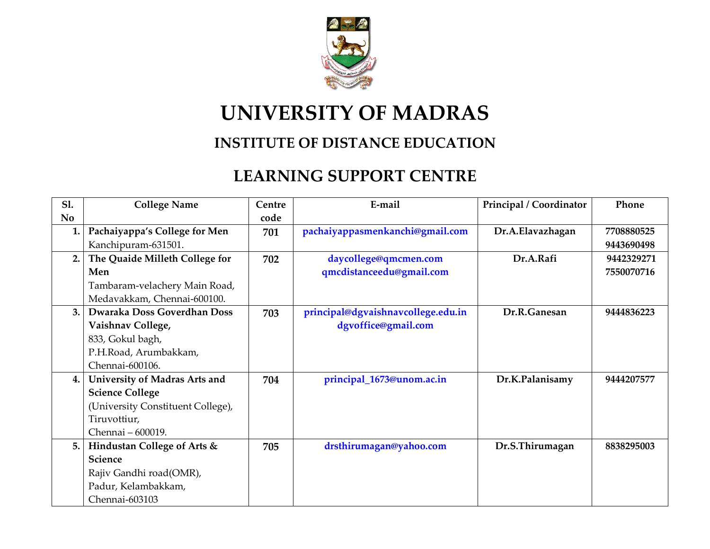

## **UNIVERSITY OF MADRAS**

## **INSTITUTE OF DISTANCE EDUCATION**

## **LEARNING SUPPORT CENTRE**

| <b>S1.</b> | <b>College Name</b>               | Centre | E-mail                             | Principal / Coordinator | Phone      |
|------------|-----------------------------------|--------|------------------------------------|-------------------------|------------|
| <b>No</b>  |                                   | code   |                                    |                         |            |
| 1.         | Pachaiyappa's College for Men     | 701    | pachaiyappasmenkanchi@gmail.com    | Dr.A.Elavazhagan        | 7708880525 |
|            | Kanchipuram-631501.               |        |                                    |                         | 9443690498 |
| 2.         | The Quaide Milleth College for    | 702    | daycollege@qmcmen.com              | Dr.A.Rafi               | 9442329271 |
|            | Men                               |        | qmcdistanceedu@gmail.com           |                         | 7550070716 |
|            | Tambaram-velachery Main Road,     |        |                                    |                         |            |
|            | Medavakkam, Chennai-600100.       |        |                                    |                         |            |
| 3.         | Dwaraka Doss Goverdhan Doss       | 703    | principal@dgvaishnavcollege.edu.in | Dr.R.Ganesan            | 9444836223 |
|            | Vaishnav College,                 |        | dgvoffice@gmail.com                |                         |            |
|            | 833, Gokul bagh,                  |        |                                    |                         |            |
|            | P.H.Road, Arumbakkam,             |        |                                    |                         |            |
|            | Chennai-600106.                   |        |                                    |                         |            |
| 4.         | University of Madras Arts and     | 704    | principal_1673@unom.ac.in          | Dr.K.Palanisamy         | 9444207577 |
|            | <b>Science College</b>            |        |                                    |                         |            |
|            | (University Constituent College), |        |                                    |                         |            |
|            | Tiruvottiur,                      |        |                                    |                         |            |
|            | Chennai - 600019.                 |        |                                    |                         |            |
| 5.         | Hindustan College of Arts &       | 705    | drsthirumagan@yahoo.com            | Dr.S.Thirumagan         | 8838295003 |
|            | Science                           |        |                                    |                         |            |
|            | Rajiv Gandhi road(OMR),           |        |                                    |                         |            |
|            | Padur, Kelambakkam,               |        |                                    |                         |            |
|            | Chennai-603103                    |        |                                    |                         |            |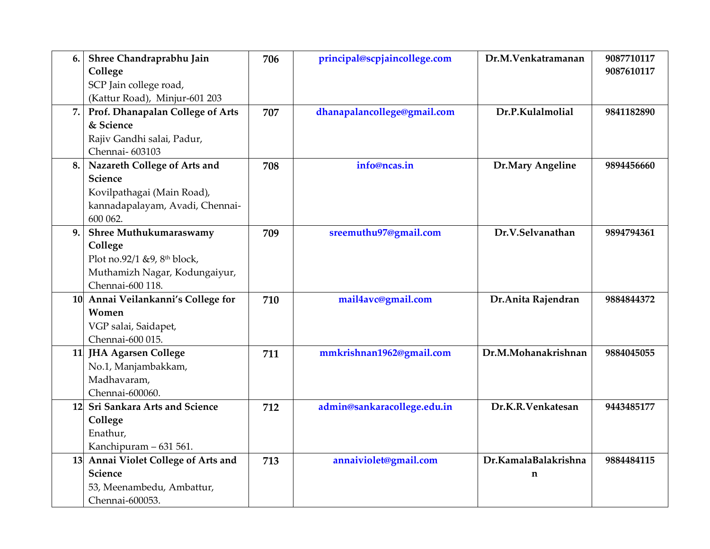| 6. | Shree Chandraprabhu Jain<br>College<br>SCP Jain college road,<br>(Kattur Road), Minjur-601 203                                     | 706 | principal@scpjaincollege.com | Dr.M.Venkatramanan                  | 9087710117<br>9087610117 |
|----|------------------------------------------------------------------------------------------------------------------------------------|-----|------------------------------|-------------------------------------|--------------------------|
| 7. | Prof. Dhanapalan College of Arts<br>& Science<br>Rajiv Gandhi salai, Padur,<br>Chennai-603103                                      | 707 | dhanapalancollege@gmail.com  | Dr.P.Kulalmolial                    | 9841182890               |
| 8. | Nazareth College of Arts and<br>Science<br>Kovilpathagai (Main Road),<br>kannadapalayam, Avadi, Chennai-<br>600 062.               | 708 | info@ncas.in                 | Dr.Mary Angeline                    | 9894456660               |
| 9. | Shree Muthukumaraswamy<br>College<br>Plot no.92/1 & 9, 8 <sup>th</sup> block,<br>Muthamizh Nagar, Kodungaiyur,<br>Chennai-600 118. | 709 | sreemuthu97@gmail.com        | Dr.V.Selvanathan                    | 9894794361               |
|    | 10 Annai Veilankanni's College for<br>Women<br>VGP salai, Saidapet,<br>Chennai-600 015.                                            | 710 | mail4avc@gmail.com           | Dr. Anita Rajendran                 | 9884844372               |
|    | 11 JHA Agarsen College<br>No.1, Manjambakkam,<br>Madhavaram,<br>Chennai-600060.                                                    | 711 | mmkrishnan1962@gmail.com     | Dr.M.Mohanakrishnan                 | 9884045055               |
|    | 12 Sri Sankara Arts and Science<br>College<br>Enathur,<br>Kanchipuram - 631 561.                                                   | 712 | admin@sankaracollege.edu.in  | Dr.K.R.Venkatesan                   | 9443485177               |
|    | 13 Annai Violet College of Arts and<br>Science<br>53, Meenambedu, Ambattur,<br>Chennai-600053.                                     | 713 | annaiviolet@gmail.com        | Dr.KamalaBalakrishna<br>$\mathbf n$ | 9884484115               |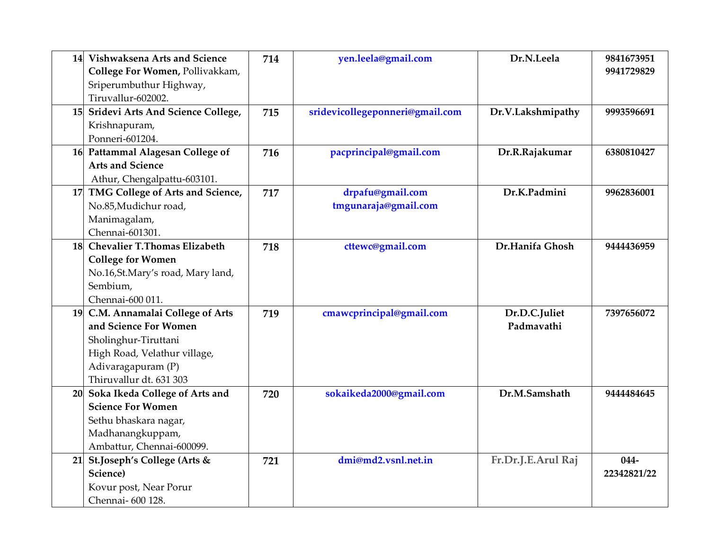| 14 Vishwaksena Arts and Science<br>College For Women, Pollivakkam, | 714 | yen.leela@gmail.com             | Dr.N.Leela         | 9841673951<br>9941729829 |
|--------------------------------------------------------------------|-----|---------------------------------|--------------------|--------------------------|
| Sriperumbuthur Highway,                                            |     |                                 |                    |                          |
| Tiruvallur-602002.                                                 |     |                                 |                    |                          |
| 15 Sridevi Arts And Science College,                               | 715 | sridevicollegeponneri@gmail.com | Dr.V.Lakshmipathy  | 9993596691               |
| Krishnapuram,                                                      |     |                                 |                    |                          |
| Ponneri-601204.                                                    |     |                                 |                    |                          |
| 16 Pattammal Alagesan College of                                   | 716 | pacprincipal@gmail.com          | Dr.R.Rajakumar     | 6380810427               |
| <b>Arts and Science</b>                                            |     |                                 |                    |                          |
| Athur, Chengalpattu-603101.                                        |     |                                 |                    |                          |
| 17 TMG College of Arts and Science,                                | 717 | drpafu@gmail.com                | Dr.K.Padmini       | 9962836001               |
| No.85, Mudichur road,                                              |     | tmgunaraja@gmail.com            |                    |                          |
| Manimagalam,                                                       |     |                                 |                    |                          |
| Chennai-601301.                                                    |     |                                 |                    |                          |
| 18 Chevalier T.Thomas Elizabeth                                    | 718 | cttewc@gmail.com                | Dr.Hanifa Ghosh    | 9444436959               |
| <b>College for Women</b>                                           |     |                                 |                    |                          |
| No.16,St.Mary's road, Mary land,                                   |     |                                 |                    |                          |
| Sembium,                                                           |     |                                 |                    |                          |
| Chennai-600 011.                                                   |     |                                 |                    |                          |
| 19 C.M. Annamalai College of Arts                                  | 719 | cmawcprincipal@gmail.com        | Dr.D.C.Juliet      | 7397656072               |
| and Science For Women                                              |     |                                 | Padmavathi         |                          |
| Sholinghur-Tiruttani                                               |     |                                 |                    |                          |
| High Road, Velathur village,                                       |     |                                 |                    |                          |
| Adivaragapuram (P)                                                 |     |                                 |                    |                          |
| Thiruvallur dt. 631 303                                            |     |                                 |                    |                          |
| 20 Soka Ikeda College of Arts and                                  | 720 | sokaikeda2000@gmail.com         | Dr.M.Samshath      | 9444484645               |
| <b>Science For Women</b>                                           |     |                                 |                    |                          |
| Sethu bhaskara nagar,                                              |     |                                 |                    |                          |
| Madhanangkuppam,                                                   |     |                                 |                    |                          |
| Ambattur, Chennai-600099.                                          |     |                                 |                    |                          |
| 21 St.Joseph's College (Arts &                                     | 721 | dmi@md2.vsnl.net.in             | Fr.Dr.J.E.Arul Raj | $044 -$                  |
| Science)                                                           |     |                                 |                    | 22342821/22              |
| Kovur post, Near Porur                                             |     |                                 |                    |                          |
| Chennai- 600 128.                                                  |     |                                 |                    |                          |